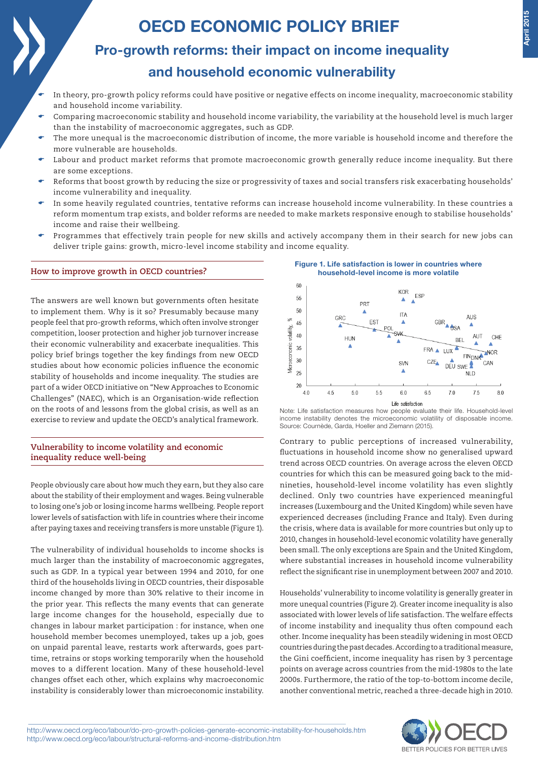# OECD ECONOMIC POLICY BRIEF

## Pro-growth reforms: their impact on income inequality and household economic vulnerability

- In theory, pro-growth policy reforms could have positive or negative effects on income inequality, macroeconomic stability and household income variability.
- Comparing macroeconomic stability and household income variability, the variability at the household level is much larger than the instability of macroeconomic aggregates, such as GDP.
- The more unequal is the macroeconomic distribution of income, the more variable is household income and therefore the more vulnerable are households.
- Labour and product market reforms that promote macroeconomic growth generally reduce income inequality. But there are some exceptions.
- Reforms that boost growth by reducing the size or progressivity of taxes and social transfers risk exacerbating households' income vulnerability and inequality.
- In some heavily regulated countries, tentative reforms can increase household income vulnerability. In these countries a reform momentum trap exists, and bolder reforms are needed to make markets responsive enough to stabilise households' income and raise their wellbeing.
- Programmes that effectively train people for new skills and actively accompany them in their search for new jobs can deliver triple gains: growth, micro-level income stability and income equality.

## **How to improve growth in OECD countries?**

The answers are well known but governments often hesitate to implement them. Why is it so? Presumably because many people feel that pro-growth reforms, which often involve stronger competition, looser protection and higher job turnover increase their economic vulnerability and exacerbate inequalities. This policy brief brings together the key findings from new OECD studies about how economic policies influence the economic stability of households and income inequality. The studies are part of a wider OECD initiative on "New Approaches to Economic Challenges" (NAEC), which is an Organisation-wide reflection on the roots of and lessons from the global crisis, as well as an exercise to review and update the OECD's analytical framework.

## **Vulnerability to income volatility and economic inequality reduce well-being**

People obviously care about how much they earn, but they also care about the stability of their employment and wages. Being vulnerable to losing one's job or losing income harms wellbeing. People report lower levels of satisfaction with life in countries where their income after paying taxes and receiving transfers is more unstable (Figure 1).

The vulnerability of individual households to income shocks is much larger than the instability of macroeconomic aggregates, such as GDP. In a typical year between 1994 and 2010, for one third of the households living in OECD countries, their disposable income changed by more than 30% relative to their income in the prior year. This reflects the many events that can generate large income changes for the household, especially due to changes in labour market participation : for instance, when one household member becomes unemployed, takes up a job, goes on unpaid parental leave, restarts work afterwards, goes parttime, retrains or stops working temporarily when the household moves to a different location. Many of these household-level changes offset each other, which explains why macroeconomic instability is considerably lower than microeconomic instability.

Figure 1. Life satisfaction is lower in countries where household-level income is more volatile



Note: Life satisfaction measures how people evaluate their life. Household-level income instability denotes the microeconomic volatility of disposable income. Source: Cournède, Garda, Hoeller and Ziemann (2015).

Contrary to public perceptions of increased vulnerability, fluctuations in household income show no generalised upward trend across OECD countries. On average across the eleven OECD countries for which this can be measured going back to the midnineties, household-level income volatility has even slightly declined. Only two countries have experienced meaningful increases (Luxembourg and the United Kingdom) while seven have experienced decreases (including France and Italy). Even during the crisis, where data is available for more countries but only up to 2010, changes in household-level economic volatility have generally been small. The only exceptions are Spain and the United Kingdom, where substantial increases in household income vulnerability reflect the significant rise in unemployment between 2007 and 2010.

Households' vulnerability to income volatility is generally greater in more unequal countries (Figure 2). Greater income inequality is also associated with lower levels of life satisfaction. The welfare effects of income instability and inequality thus often compound each other. Income inequality has been steadily widening in most OECD countries during the past decades. According to a traditional measure, the Gini coefficient, income inequality has risen by 3 percentage points on average across countries from the mid-1980s to the late 2000s. Furthermore, the ratio of the top-to-bottom income decile, another conventional metric, reached a three-decade high in 2010.